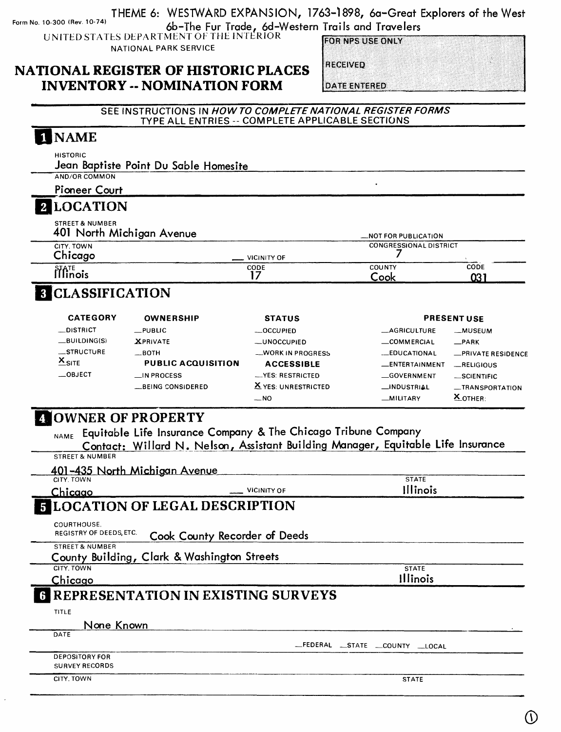Form No. 10-300 (Rev. 10-74) THEME 6: WESTWARD EXPANSION, 1763-1898, 6a-Great Explorers of the West 6b-The Fur Trade, 6d-Western Trails and Travelers

UNITED STATES DEPARTMENT OF THE INTERIOR NATIONAL PARK SERVICE

**FOR NPS USE ONLY** 

#### **NATIONAL REGISTER OF HISTORIC PLACES INVENTORY -- NOMINATION FORM**

**RECEIVED** 

**DATE ENTERED** 

SEE INSTRUCTIONS IN **HOW TO COMPLETE NATIONAL REGISTER FORMS**  TYPE ALL ENTRIES -- COMPLETE APPLICABLE SECTIONS

## 1 NAME

HISTORIC

Jean Baptiste Point Du Sable Homesite\_\_\_\_\_\_\_\_\_\_\_\_\_\_\_\_\_\_\_\_\_\_\_\_\_

AND/OR COMMON Pioneer Court

# 2 LOCATION

STREET & NUMBER<br>401 Night A4: -1:

| 401 North Michigan Avenue        | <b>NOT FOR PUBLICATION</b> |                               |             |
|----------------------------------|----------------------------|-------------------------------|-------------|
| CITY TOWN<br>Chicago             | <b>VICINITY OF</b>         | <b>CONGRESSIONAL DISTRICT</b> |             |
| $\hat{\rm \hat{H}}^{\rm TE}$ nis | CODE                       | COUNTY<br>Cook                | CODE<br>031 |

# **8 CLASSIFICATION**

| <b>CATEGORY</b>   | <b>OWNERSHIP</b>          | <b>STATUS</b>       |                       | <b>PRESENT USE</b> |
|-------------------|---------------------------|---------------------|-----------------------|--------------------|
| <b>DISTRICT</b>   | $\rule{0pt}{0pt}$ PUBLIC  | $-$ OCCUPIED        | <b>MAGRICULTURE</b>   | __MUSEUM           |
| $-BULDING(S)$     | <b>XPRIVATE</b>           | $-$ UNOCCUPIED      | $\equiv$ COMMERCIAL   | $\_ PARK$          |
| STRUCTURE         | $\equiv$ BOTH             | -WORK IN PROGRESS   | -EDUCATIONAL          | -PRIVATE RESIDENCE |
| $X_{\text{SITE}}$ | <b>PUBLIC ACQUISITION</b> | <b>ACCESSIBLE</b>   | <b>LENTERTAINMENT</b> | RELIGIOUS          |
| <b>OBJECT</b>     | $\Box$ IN PROCESS         | -YES: RESTRICTED    | GOVERNMENT            | _SCIENTIFIC        |
|                   | __BEING CONSIDERED        | X YES: UNRESTRICTED | _INDUSTRIAL           | -TRANSPORTATION    |
|                   |                           | $-$ NO              | -MILITARY             | $X_{\text{OTHER}}$ |

### **ZOWNER OF PROPERTY**

Equitable Life Insurance Company & The Chicago Tribune Company **NAME**

Contact; Willard N. Nelson, Assistant Building Manager, Equitable Life Insurance

STREET & NUMBER

| 401-435 North Michigan Avenue |                                             |                                       |
|-------------------------------|---------------------------------------------|---------------------------------------|
| CITY, TOWN                    |                                             | <b>STATE</b>                          |
| Chicago                       | VICINITY OF                                 | Illinois                              |
|                               | <b>LOCATION OF LEGAL DESCRIPTION</b>        |                                       |
| COURTHOUSE.                   |                                             |                                       |
| REGISTRY OF DEEDS, ETC.       | Cook County Recorder of Deeds               |                                       |
| <b>STREET &amp; NUMBER</b>    |                                             |                                       |
|                               | County Building, Clark & Washington Streets |                                       |
| CITY, TOWN                    |                                             | <b>STATE</b>                          |
| Chicago                       |                                             | <b>Illinois</b>                       |
|                               | REPRESENTATION IN EXISTING SURVEYS          |                                       |
| TITLE                         |                                             |                                       |
| None Known                    |                                             |                                       |
| DATE                          |                                             |                                       |
|                               |                                             | _FEDERAL<br>$\_STATE$<br>COUNTY LOCAL |
| <b>DEPOSITORY FOR</b>         |                                             |                                       |
| <b>SURVEY RECORDS</b>         |                                             |                                       |
| CITY. TOWN                    |                                             | <b>STATE</b>                          |
|                               |                                             |                                       |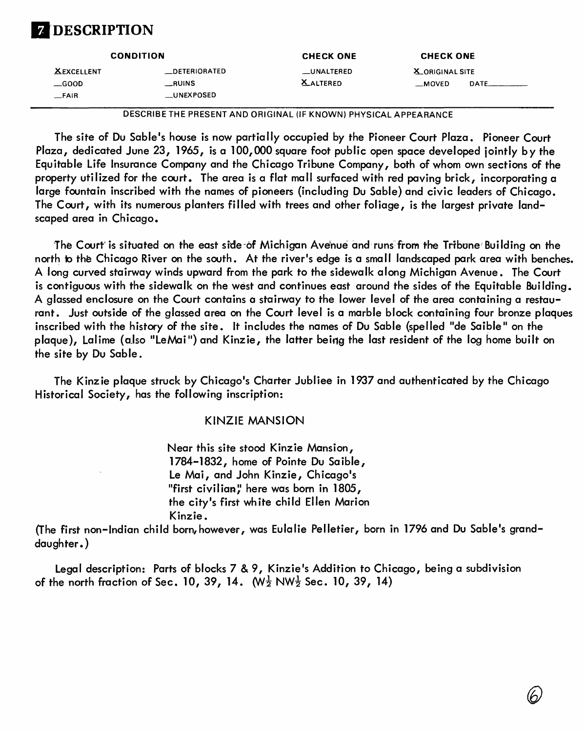# DESCRIPTION

| <b>CONDITION</b>                            |                                                 | <b>CHECK ONE</b>                | <b>CHECK ONE</b>                                 |  |
|---------------------------------------------|-------------------------------------------------|---------------------------------|--------------------------------------------------|--|
| <b>XEXCELLENT</b><br>$\equiv$ GOOD<br>_FAIR | <b>__DETERIORATED</b><br>__RUINS<br>__UNEXPOSED | __UNALTERED<br><b>X_ALTERED</b> | <b>X_ORIGINAL SITE</b><br><b>DATE</b><br>__MOVED |  |

DESCRIBETHE PRESENT AND ORIGINAL (IF KNOWN) PHYSICAL APPEARANCE

The site of Du Sable's house is now partially occupied by the Pioneer Court Plaza. Pioneer Court Plaza, dedicated June 23, 1965, is a 100,000 square foot public open space developed jointly by the Equitable Life Insurance Company and the Chicago Tribune Company, both of whom own sections of the property utilized for the court. The area is a flat mall surfaced with red paving brick, incorporating a large fountain inscribed with the names of pioneers (including Du Sable) and civic leaders of Chicago. The Court, with its numerous planters filled with trees and other foliage, is the largest private landscaped area in Chicago.

The Court is situated on the east side-of Michigan Avehue and runs from the Tribune Building on the north to the Chicago River on the south. At the river's edge is a small landscaped park area with benches. A long curved stairway winds upward from the park to the sidewalk along Michigan Avenue. The Court is contiguous with the sidewalk on the west and continues east around the sides of the Equitable Building. A glassed enclosure on the Court contains a stairway to the lower level of the area containing a restaurant. Just outside of the glassed area on the Court level is a marble block containing four bronze plaques inscribed with the history of the site. It includes the names of Du Sable (spelled "de Saible" on the plaque), Lalime (also "LeMai") and Kinzie, the latter being the last resident of the log home built on the site by Du Sable.

The Kinzie plaque struck by Chicago's Charter Jubilee in 1937 and authenticated by the Chicago Historical Society, has the following inscription:

#### KINZIE MANSION

Near this site stood Kinzie Mansion, 1784-1832, home of Pointe Du Saible, Le Mai, and John Kinzie, Chicago's "first civilian," here was born in 1805, the city's first white child Ellen Marion Kinzie.

(The first non-Indian child born,however, was Eulalie Pelletier, born in 1796 and Du Sable's granddaughter.)

Legal description: Parts of blocks 7 & 9, Kinzie's Addition to Chicago, being a subdivision of the north fraction of Sec. 10, 39, 14.  $(W_2^1)$  NW<sub>2</sub> Sec. 10, 39, 14)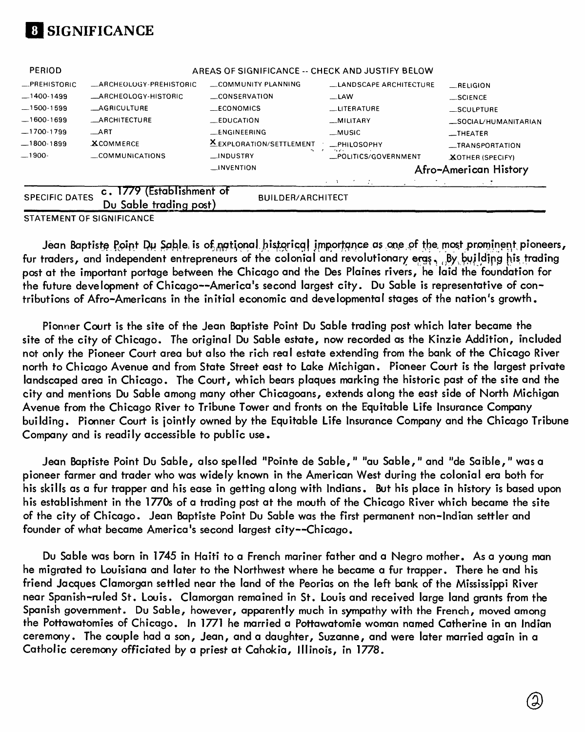

| <b>PERIOD</b>         |                                                     | AREAS OF SIGNIFICANCE -- CHECK AND JUSTIFY BELOW |                               |                         |
|-----------------------|-----------------------------------------------------|--------------------------------------------------|-------------------------------|-------------------------|
| -PREHISTORIC          | __ARCHEOLOGY-PREHISTORIC                            | COMMUNITY PLANNING                               | <b>LANDSCAPE ARCHITECTURE</b> | RELIGION                |
| $-1400-1499$          | _ARCHEOLOGY-HISTORIC                                | CONSERVATION                                     | __LAW                         | $\_$ SCIENCE            |
| $-1500-1599$          | <b>__AGRICULTURE</b>                                | __ECONOMICS                                      | <b>LITERATURE</b>             | __SCULPTURE             |
| $-1600-1699$          | <b>_ARCHITECTURE</b>                                | $E$ DUCATION                                     | <b>MILITARY</b>               | SOCIAL/HUMANITARIAN     |
| $-1700-1799$          | $\_$ ART                                            | <b>LENGINEERING</b>                              | _MUSIC                        | __THEATER               |
| $-1800-1899$          | <b>XCOMMERCE</b>                                    | XEXPLORATION/SETTLEMENT                          | <b>_PHILOSOPHY</b>            | _TRANSPORTATION         |
| —1900-                | $\equiv$ COMMUNICATIONS                             | __INDUSTRY                                       | _POLITICS/GOVERNMENT          | <b>XOTHER (SPECIFY)</b> |
|                       |                                                     | $\equiv$ invention                               |                               | Afro-American History   |
|                       |                                                     |                                                  | メーキー アクリプシン                   | $\sim$ - $7$ -          |
| <b>SPECIFIC DATES</b> | c. 1779 (Establishment of<br>Du Sable trading post) | <b>BUILDER/ARCHITECT</b>                         |                               |                         |

STATEMENT OF SIGNIFICANCE

Jean Baptiste Point Du Sable, is of national bistorical importance as one of the most prominent pioneers, fur traders, and independent entrepreneurs of the colonial and revolutionary ergs. By building his trading post at the important portage between the Chicago and the Des Plaines rivers, he laid the foundation for the future development of Chicago--America's second largest city. Du Sable is representative of contributions of Afro-Americans in the initial economic and developmental stages of the nation's growth.

Pionner Court is the site of the Jean Baptiste Point Du Sable trading post which later became the site of the city of Chicago. The original Du Sable estate, now recorded as the Kinzie Addition, included not only the Pioneer Court area but also the rich real estate extending from the bank of the Chicago River north to Chicago Avenue and from State Street east to Lake Michigan. Pioneer Court is the largest private landscaped area in Chicago. The Court, which bears plaques marking the historic past of the site and the city and mentions Du Sable among many other Chicagoans, extends along the east side of North Michigan Avenue from the Chicago River to Tribune Tower and fronts on the Equitable Life Insurance Company building. Pionner Court is jointly owned by the Equitable Life Insurance Company and the Chicago Tribune Company and is readily accessible to public use.

Jean Baptiste Point Du Sable, also spelled "Pointe de Sable," "au Sable," and "de Saible," was a pioneer farmer and trader who was widely known in the American West during the colonial era both for his skills as a fur trapper and his ease in getting along with Indians. But his place in history is based upon his establishment in the 1770s of a trading post at the mouth of the Chicago River which became the site of the city of Chicago. Jean Baptiste Point Du Sable was the first permanent non-Indian settler and founder of what became America's second largest city—Chicago.

Du Sable was born in 1745 in Haiti to a French mariner father and a Negro mother. As a young man he migrated to Louisiana and later to the Northwest where he became a fur trapper. There he and his friend Jacques Clamorgan settled near the land of the Peorias on the left bank of the Mississippi River near Spanish-ruled St. Louis. Clamorgan remained in St. Louis and received large land grants from the Spanish government. Du Sable, however, apparently much in sympathy with the French, moved among the Pottawatomies of Chicago. In 1771 he married a Pottawatomie woman named Catherine in an Indian ceremony. The couple had a son, Jean, and a daughter, Suzanne, and were later married again in a Catholic ceremony officiated by a priest at Cahokia, Illinois, in 1778.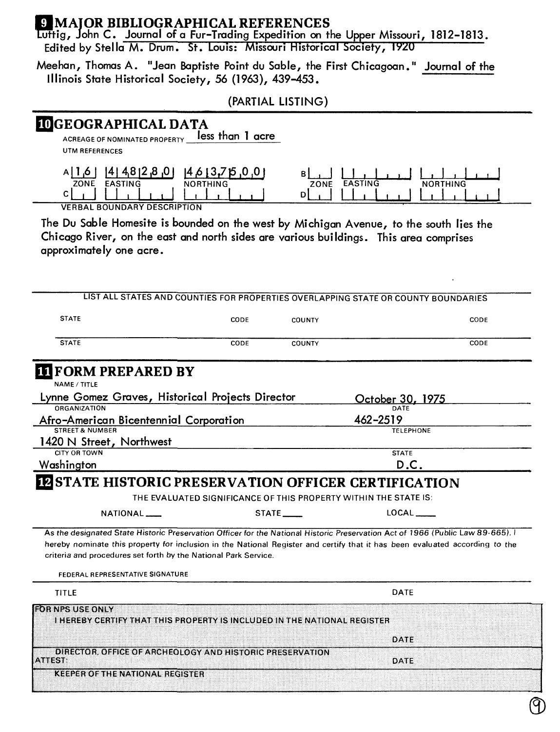## **U MAIOR BIBLIOGRAPHICAL REFERENCES**

uttig, John C. Journal of a Fur-Trading Expedition on the Upper Missouri, 1812-1813. Edited by Stella M. Drum. St. Louis: Missouri Historical Society, IV2U

Meehan, Thomas A. "Jean Baptiste Point du Sable, the First Chicagoan." Journal of the Illinois State Historical Society, 56 (1963), 439-453.

(PARTIAL LISTING)

# DGEOGRAPHICAL DATA

ACREAGE OF NOMINATED PROPERTY **leSS than 1 OCre** UTM REFERENCES

|                        | ıД<br>- 20    | . .         |     |                        |
|------------------------|---------------|-------------|-----|------------------------|
| ZONE<br><b>FASTING</b> | RTHING<br>NOR | <b>ZONE</b> | TAC | រសេក<br>$\overline{M}$ |
|                        |               |             |     |                        |
| $\overline{1}$         |               |             |     |                        |

VERBAL BOUNDARY DESCRIPTION

The Du Sable Homesite is bounded on the west by Michigan Avenue, to the south lies the Chicago River, on the east and north sides are various buildings. This area comprises approximately one acre.

| LIST ALL STATES AND COUNTIES FOR PROPERTIES OVERLAPPING STATE OR COUNTY BOUNDARIES                                                                                                                                                                                                                                                                          |      |                          |                                                                                    |      |
|-------------------------------------------------------------------------------------------------------------------------------------------------------------------------------------------------------------------------------------------------------------------------------------------------------------------------------------------------------------|------|--------------------------|------------------------------------------------------------------------------------|------|
| <b>STATE</b>                                                                                                                                                                                                                                                                                                                                                | CODE | <b>COUNTY</b>            |                                                                                    | CODE |
| <b>STATE</b>                                                                                                                                                                                                                                                                                                                                                | CODE | <b>COUNTY</b>            |                                                                                    | CODE |
| <b>II FORM PREPARED BY</b><br>NAME / TITLE                                                                                                                                                                                                                                                                                                                  |      |                          |                                                                                    |      |
| Lynne Gomez Graves, Historical Projects Director                                                                                                                                                                                                                                                                                                            |      |                          | October 30, 1975                                                                   |      |
| <b>ORGANIZATION</b>                                                                                                                                                                                                                                                                                                                                         |      |                          |                                                                                    |      |
| <b>Afro-American Bicentennial Corporation</b>                                                                                                                                                                                                                                                                                                               |      |                          | 462-2519                                                                           |      |
| <b>STREET &amp; NUMBER</b>                                                                                                                                                                                                                                                                                                                                  |      |                          | <b>TELEPHONE</b>                                                                   |      |
| 1420 N Street, Northwest                                                                                                                                                                                                                                                                                                                                    |      |                          |                                                                                    |      |
| <b>CITY OR TOWN</b>                                                                                                                                                                                                                                                                                                                                         |      |                          | <b>STATE</b>                                                                       |      |
| Washington                                                                                                                                                                                                                                                                                                                                                  |      |                          | D.C.                                                                               |      |
| NATIONAL <sub>-</sub><br>As the designated State Historic Preservation Officer for the National Historic Preservation Act of 1966 (Public Law 89-665). I<br>hereby nominate this property for inclusion in the National Register and certify that it has been evaluated according to the<br>criteria and procedures set forth by the National Park Service. |      | $STATE$ <sub>_____</sub> | THE EVALUATED SIGNIFICANCE OF THIS PROPERTY WITHIN THE STATE IS:<br>LOCAL <b>A</b> |      |
| FEDERAL REPRESENTATIVE SIGNATURE                                                                                                                                                                                                                                                                                                                            |      |                          |                                                                                    |      |
| TITLE                                                                                                                                                                                                                                                                                                                                                       |      |                          | <b>DATE</b>                                                                        |      |
| <b>FORNPS USE ONLY</b><br>I HEREBY CERTIFY THAT THIS PROPERTY IS INCLUDED IN THE NATIONAL REGISTER                                                                                                                                                                                                                                                          |      |                          |                                                                                    |      |
|                                                                                                                                                                                                                                                                                                                                                             |      |                          | DATE                                                                               |      |
|                                                                                                                                                                                                                                                                                                                                                             |      |                          |                                                                                    |      |
| DIRECTOR, OFFICE OF ARCHEOLOGY AND HISTORIC PRESERVATION<br><b>ATTEST:</b>                                                                                                                                                                                                                                                                                  |      |                          | DATE                                                                               |      |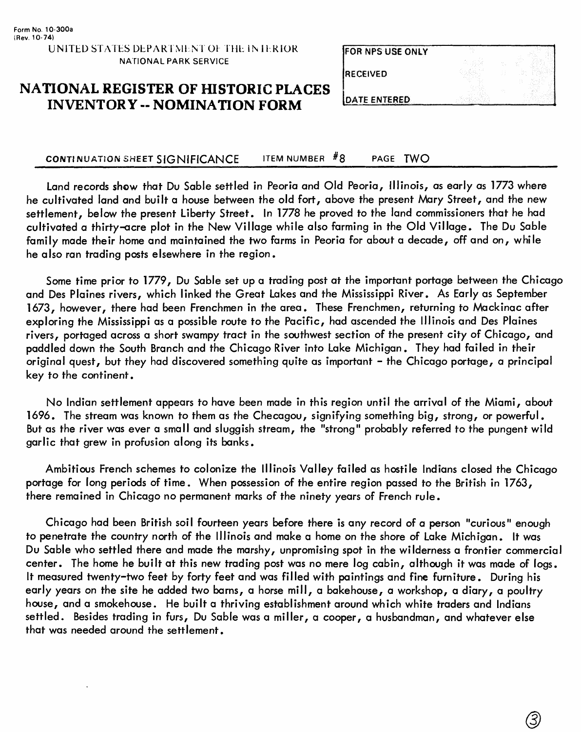#### **NATIONAL REGISTER OF HISTORIC PLACES INVENTORY - NOMINATION FORM**

| RECEIVED             |  |
|----------------------|--|
| <b>IDATE ENTERED</b> |  |

**FOR NPS USE ONLY** 

#### CONTINUATION SHEET SIGNIFICANCE ITEM NUMBER  $#8$  PAGE TWO

Land records show that Du Sable settled in Peoria and Old Peoria, Illinois, as early as 1773 where he cultivated land and built a house between the old fort, above the present Mary Street, and the new settlement, below the present Liberty Street. In 1778 he proved to the land commissioners that he had cultivated a thirty-acre plot in the New Village while also farming in the Old Village. The Du Sable family made their home and maintained the two farms in Peoria for about a decade, off and on, while he also ran trading posts elsewhere in the region.

Some time prior to 1779, Du Sable set up a trading post at the important portage between the Chicago and Des Plaines rivers, which linked the Great Lakes and the Mississippi River. As Early as September 1673, however, there had been Frenchmen in the area. These Frenchmen, returning to Mackinac after exploring the Mississippi as a possible route to the Pacific, had ascended the Illinois and Des Plaines rivers, portaged across a short swampy tract in the southwest section of the present city of Chicago, and paddled down the South Branch and the Chicago River into Lake Michigan. They had failed in their original quest, but they had discovered something quite as important - the Chicago portage, a principal key to the continent.

No Indian settlement appears to have been made in this region until the arrival of the Miami, about 1696. The stream was known to them as the Checagou, signifying something big, strong, or powerful. But as the river was ever a small and sluggish stream, the "strong" probably referred to the pungent wild garlic that grew in profusion along its banks.

Ambitious French schemes to colonize the Illinois Valley failed as hostile Indians closed the Chicago portage for long periods of time. When possession of the entire region passed to the British in 1763, there remained in Chicago no permanent marks of the ninety years of French rule.

Chicago had been British soil fourteen years before there is any record of a person "curious" enough to penetrate the country north of the Illinois and make a home on the shore of Lake Michigan. It was Du Sable who settled there and made the marshy, unpromising spot in the wilderness a frontier commercial center. The home he built at this new trading post was no mere log cabin, although it was made of logs. It measured twenty-two feet by forty feet and was filled with paintings and fine furniture. During his early years on the site he added two barns, a horse mill, a bakehouse, a workshop, a diary, a poultry house, and a smokehouse. He built a thriving establishment around which white traders and Indians settled. Besides trading in furs, Du Sable was a miller, a cooper, a husbandman, and whatever else that was needed around the settlement.

3,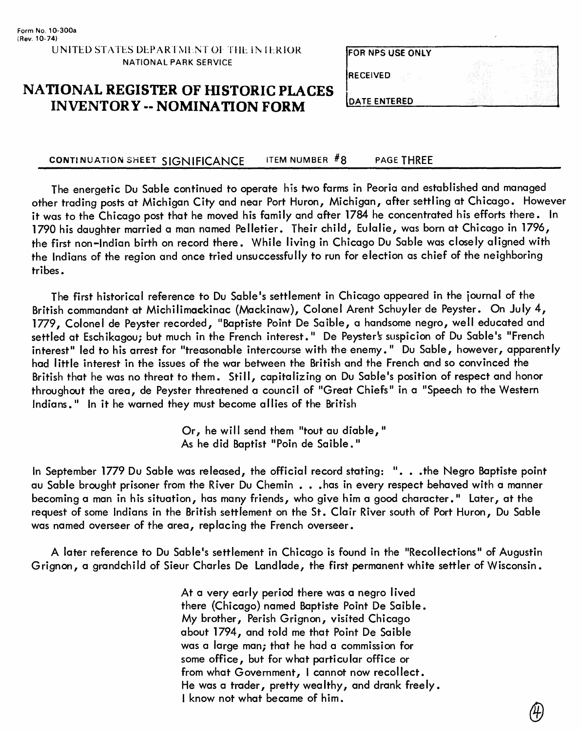| <b>FOR NPS USE ONLY</b>   |  |
|---------------------------|--|
| <b>RECEIVED</b><br>$\sim$ |  |
| DATE ENTERED              |  |

# **NATIONAL REGISTER OF HISTORIC PLACES INVENTORY -- NOMINATION FORM**

#### **CONTINUATION SHEET SIGNIFICANCE ITEM NUMBER #8\_\_\_\_PAGE THREE**

The energetic Du Sable continued to operate his two farms in Peoria and established and managed other trading posts at Michigan City and near Port Huron, Michigan, after settling at Chicago. However it was to the Chicago post that he moved his family and after 1784 he concentrated his efforts there. In 1790 his daughter married a man named Pelletier. Their child, Eulalie, was born at Chicago in 1796, the first non-Indian birth on record there. While living in Chicago Du Sable was closely aligned with the Indians of the region and once tried unsuccessfully to run for election as chief of the neighboring tribes.

The first historical reference to Du Sable's settlement in Chicago appeared in the journal of the British commandant at Michilimackinac (Mackinaw), Colonel Arent Schuyler de Peyster. On July 4, 1779, Colonel de Peyster recorded, "Baptiste Point De Saible, a handsome negro, well educated and settled at Eschikagou; but much in the French interest." De Peyster's suspicion of Du Sable's "French interest" led to his arrest for "treasonable intercourse with the enemy." Du Sable, however, apparently had little interest in the issues of the war between the British and the French and so convinced the British that he was no threat to them. Still, capitalizing on Du Sable's position of respect and honor throughout the area, de Peyster threatened a council of "Great Chiefs" in a "Speech to the Western Indians." In it he warned they must become allies of the British

> Or, he will send them "tout au diable, " As he did Baptist "Poin de Saible."

In September 1779 Du Sable was released, the official record stating: ". . .the Negro Baptiste point au Sable brought prisoner from the River Du Chemin . . .has in every respect behaved with a manner becoming a man in his situation, has many friends, who give him a good character." Later, at the request of some Indians in the British settlement on the St. Clair River south of Port Huron, Du Sable was named overseer of the area, replacing the French overseer.

A later reference to Du Sable's settlement in Chicago is found in the "Recollections" of Augustin Grignon, a grandchild of Sieur Charles De Landlade, the first permanent white settler of Wisconsin.

> At a very early period there was a negro lived there (Chicago) named Baptiste Point De Saible. My brother, Perish Grignon, visited Chicago about 1794, and told me that Point De Saible was a large man; that he had a commission for some office, but for what particular office or from what Government, I cannot now recollect. He was a trader, pretty wealthy, and drank freely. I know not what became of him.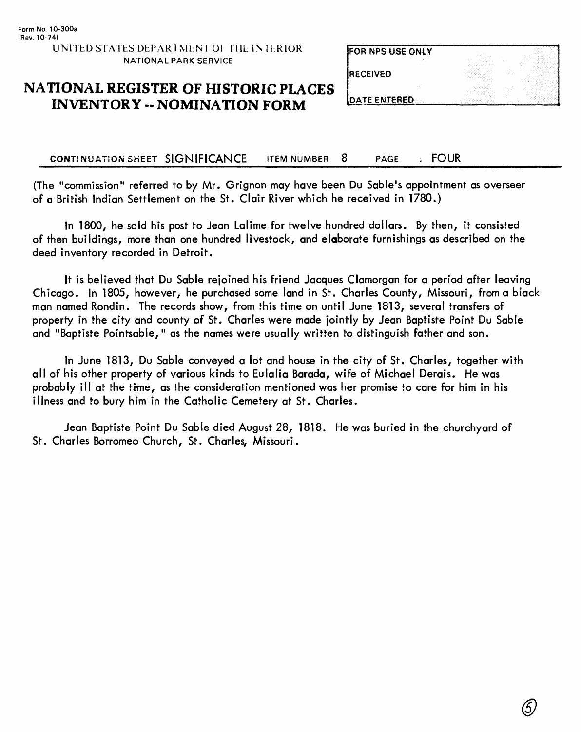FOR NPS USE ONLY

**RECEIVED** 

#### **NATIONAL REGISTER OF HISTORIC PLACES INVENTORY - NOMINATION FORM**

**DATE ENTERED** 

#### **CONTINUATION SHEET SIGNIFICANCE** ITEM NUMBER 8 PAGE FOUR

(The "commission" referred to by Mr. Grignon may have been Du Sable's appointment as overseer of a British Indian Settlement on the St. Clair River which he received in 1780.)

In 1800, he sold his post to Jean Lalime for twelve hundred dollars. By then, it consisted of then buildings, more than one hundred livestock, and elaborate furnishings as described on the deed inventory recorded in Detroit.

It is believed that Du Sable rejoined his friend Jacques Clamorgan for a period after leaving Chicago. In 1805, however, he purchased some land in St. Charles County, Missouri, from a black man named Rondin. The records show, from this time on until June 1813, several transfers of property in the city and county of St. Charles were made jointly by Jean Baptiste Point Du Sable and "Baptiste Pointsable," as the names were usually written to distinguish father and son.

In June 1813, Du Sable conveyed a lot and house in the city of St. Charles, together with all of his other property of various kinds to Eulalia Barada, wife of Michael Derais. He was probably ill at the time, as the consideration mentioned was her promise to care for him in his illness and to bury him in the Catholic Cemetery at St. Charles.

Jean Baptiste Point Du Sable died August 28, 1818. He was buried in the churchyard of St. Charles Borromeo Church, St. Charles, Missouri.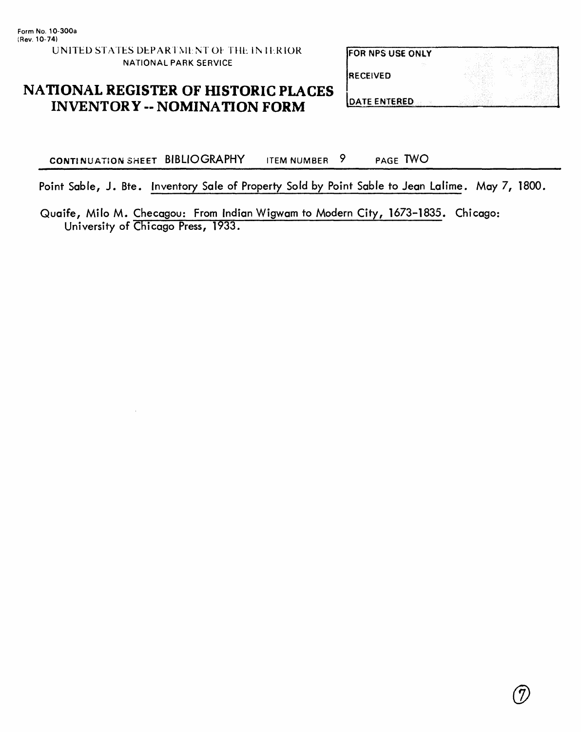**FOR NPS USE ONLY** 

**RECEIVED** 

## NATIONAL REGISTER OF HISTORIC PLACES INVENTORY -- NOMINATION FORM DATE ENTERED

CONTINUATION SHEET BIBLIOGRAPHY ITEM NUMBER 9 PAGE TWO

Point Sable, J. Bte. Inventory Sale of Property Sold by Point Sable to Jean Lalime. May 7, 1800,

Quaife, Milo M. Checqgou; From Indian Wigwam to Modern City, 1673-1835. Chicago: University of Chicago Press, 1933.